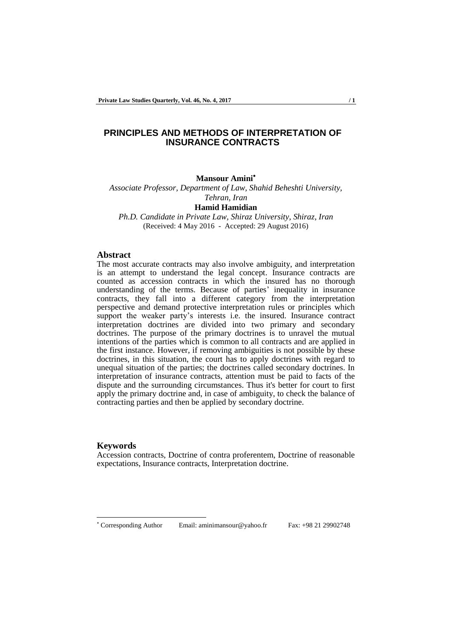## **PRINCIPLES AND METHODS OF INTERPRETATION OF INSURANCE CONTRACTS**

### **Mansour Amini**

*Associate Professor, Department of Law, Shahid Beheshti University, Tehran, Iran*

**Hamid Hamidian**

*Ph.D. Candidate in Private Law, Shiraz University, Shiraz, Iran* (Received: 4 May 2016 - Accepted: 29 August 2016)

### **Abstract**

The most accurate contracts may also involve ambiguity, and interpretation is an attempt to understand the legal concept. Insurance contracts are counted as accession contracts in which the insured has no thorough understanding of the terms. Because of parties' inequality in insurance contracts, they fall into a different category from the interpretation perspective and demand protective interpretation rules or principles which support the weaker party's interests i.e. the insured. Insurance contract interpretation doctrines are divided into two primary and secondary doctrines. The purpose of the primary doctrines is to unravel the mutual intentions of the parties which is common to all contracts and are applied in the first instance. However, if removing ambiguities is not possible by these doctrines, in this situation, the court has to apply doctrines with regard to unequal situation of the parties; the doctrines called secondary doctrines. In interpretation of insurance contracts, attention must be paid to facts of the dispute and the surrounding circumstances. Thus it's better for court to first apply the primary doctrine and, in case of ambiguity, to check the balance of contracting parties and then be applied by secondary doctrine.

#### **Keywords**

-

Accession contracts, Doctrine of contra proferentem, Doctrine of reasonable expectations, Insurance contracts, Interpretation doctrine.

Corresponding Author Email: aminimansour@yahoo.fr Fax: +98 21 29902748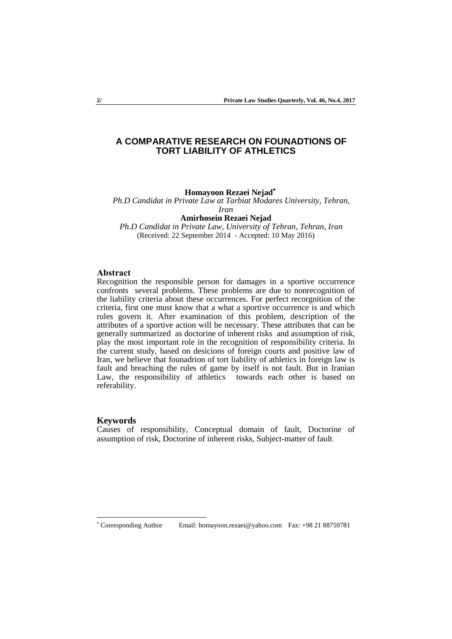## **A COMPARATIVE RESEARCH ON FOUNADTIONS OF TORT LIABILITY OF ATHLETICS**

**Homayoon Rezaei Nejad**

*Ph.D Candidat in Private Law at Tarbiat Modares University, Tehran, Iran* 

**Amirhosein Rezaei Nejad** 

*Ph.D Candidat in Private Law, University of Tehran, Tehran, Iran*  (Received: 22 September 2014 - Accepted: 10 May 2016)

#### **Abstract**

Recognition the responsible person for damages in a sportive occurrence confronts several problems. These problems are due to nonrecognition of the liability criteria about these occurrences. For perfect recorgnition of the criteria, first one must know that a what a sportive occurrence is and which rules govern it. After examination of this problem, description of the attributes of a sportive action will be necessary. These attributes that can be generally summarized as doctorine of inherent risks and assumption of risk, play the most important role in the recognition of responsibility criteria. In the current study, based on desicions of foreign courts and positive law of Iran, we believe that founadrion of tort liability of athletics in foreign law is fault and breaching the rules of game by itself is not fault. But in Iranian Law, the responsibility of athletics towards each other is based on referability.

## **Keywords**

-

Causes of responsibility, Conceptual domain of fault, Doctorine of assumption of risk, Doctorine of inherent risks, Subject-matter of fault.

Corresponding Author Email: homayoon.rezaei@yahoo.com Fax: +98 21 88759781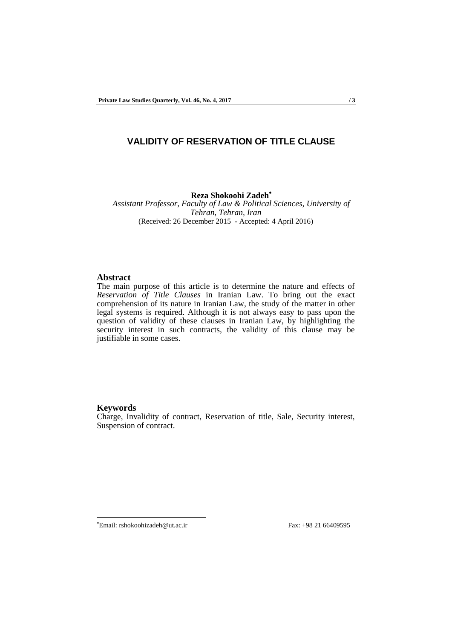## **VALIDITY OF RESERVATION OF TITLE CLAUSE**

### **Reza Shokoohi Zadeh**

*Assistant Professor, Faculty of Law & Political Sciences, University of Tehran, Tehran, Iran*  (Received: 26 December 2015 - Accepted: 4 April 2016)

## **Abstract**

The main purpose of this article is to determine the nature and effects of *Reservation of Title Clauses* in Iranian Law. To bring out the exact comprehension of its nature in Iranian Law, the study of the matter in other legal systems is required. Although it is not always easy to pass upon the question of validity of these clauses in Iranian Law, by highlighting the security interest in such contracts, the validity of this clause may be justifiable in some cases.

### **Keywords**

-

Charge, Invalidity of contract, Reservation of title, Sale, Security interest, Suspension of contract.

Email: rshokoohizadeh@ut.ac.ir Fax: +98 21 66409595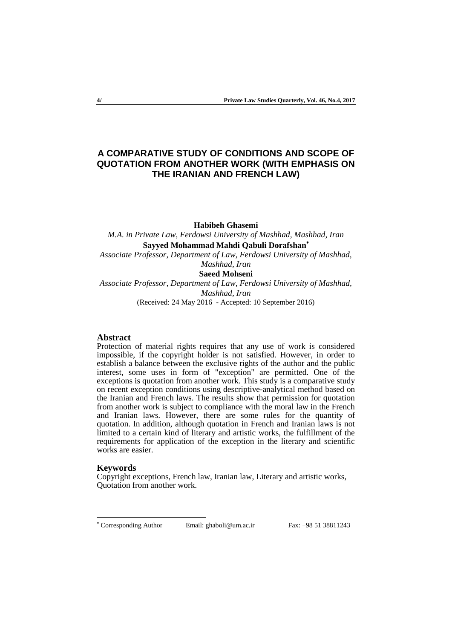# **A COMPARATIVE STUDY OF CONDITIONS AND SCOPE OF QUOTATION FROM ANOTHER WORK (WITH EMPHASIS ON THE IRANIAN AND FRENCH LAW)**

#### **Habibeh Ghasemi**

*M.A. in Private Law, Ferdowsi University of Mashhad, Mashhad, Iran*  **Sayyed Mohammad Mahdi Qabuli Dorafshan**

*Associate Professor, Department of Law, Ferdowsi University of Mashhad, Mashhad, Iran* 

**Saeed Mohseni**

*Associate Professor, Department of Law, Ferdowsi University of Mashhad, Mashhad, Iran*  (Received: 24 May 2016 - Accepted: 10 September 2016)

## **Abstract**

Protection of material rights requires that any use of work is considered impossible, if the copyright holder is not satisfied. However, in order to establish a balance between the exclusive rights of the author and the public interest, some uses in form of "exception" are permitted. One of the exceptions is quotation from another work. This study is a comparative study on recent exception conditions using descriptive-analytical method based on the Iranian and French laws. The results show that permission for quotation from another work is subject to compliance with the moral law in the French and Iranian laws. However, there are some rules for the quantity of quotation. In addition, although quotation in French and Iranian laws is not limited to a certain kind of literary and artistic works, the fulfillment of the requirements for application of the exception in the literary and scientific works are easier.

#### **Keywords**

-

Copyright exceptions, French law, Iranian law, Literary and artistic works, Quotation from another work.

Corresponding Author Email: ghaboli@um.ac.ir Fax: +98 51 38811243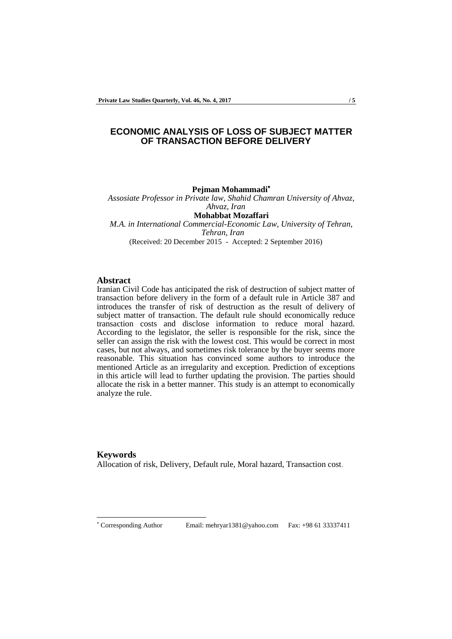## **ECONOMIC ANALYSIS OF LOSS OF SUBJECT MATTER OF TRANSACTION BEFORE DELIVERY**

#### **Pejman Mohammadi**

*Assosiate Professor in Private law, Shahid Chamran University of Ahvaz, Ahvaz, Iran*  **Mohabbat Mozaffari** *M.A. in International Commercial-Economic Law, University of Tehran, Tehran, Iran*  (Received: 20 December 2015 - Accepted: 2 September 2016)

## **Abstract**

Iranian Civil Code has anticipated the risk of destruction of subject matter of transaction before delivery in the form of a default rule in Article 387 and introduces the transfer of risk of destruction as the result of delivery of subject matter of transaction. The default rule should economically reduce transaction costs and disclose information to reduce moral hazard. According to the legislator, the seller is responsible for the risk, since the seller can assign the risk with the lowest cost. This would be correct in most cases, but not always, and sometimes risk tolerance by the buyer seems more reasonable. This situation has convinced some authors to introduce the mentioned Article as an irregularity and exception. Prediction of exceptions in this article will lead to further updating the provision. The parties should allocate the risk in a better manner. This study is an attempt to economically analyze the rule.

#### **Keywords**

-

Allocation of risk, Delivery, Default rule, Moral hazard, Transaction cost.

Corresponding Author Email: mehryar1381@yahoo.com Fax: +98 61 33337411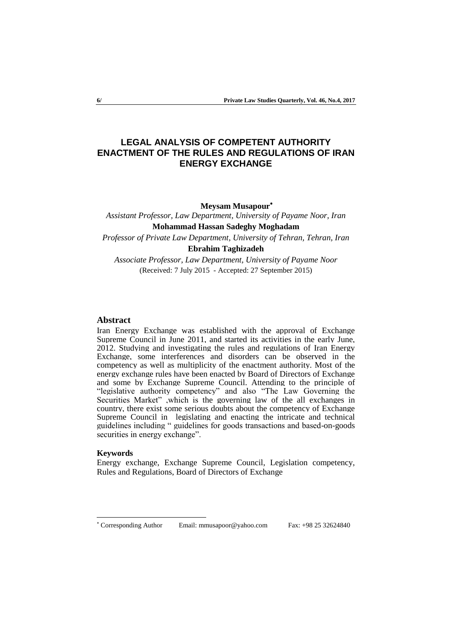# **LEGAL ANALYSIS OF COMPETENT AUTHORITY ENACTMENT OF THE RULES AND REGULATIONS OF IRAN ENERGY EXCHANGE**

**Meysam Musapour**

*Assistant Professor, Law Department, University of Payame Noor, Iran* **Mohammad Hassan Sadeghy Moghadam** *Professor of Private Law Department, University of Tehran, Tehran, Iran*  **Ebrahim Taghizadeh** *Associate Professor, Law Department, University of Payame Noor* (Received: 7 July 2015 - Accepted: 27 September 2015)

## **Abstract**

Iran Energy Exchange was established with the approval of Exchange Supreme Council in June 2011, and started its activities in the early June, 2012. Studying and investigating the rules and regulations of Iran Energy Exchange, some interferences and disorders can be observed in the competency as well as multiplicity of the enactment authority. Most of the energy exchange rules have been enacted by Board of Directors of Exchange and some by Exchange Supreme Council. Attending to the principle of "legislative authority competency" and also "The Law Governing the Securities Market" ,which is the governing law of the all exchanges in country, there exist some serious doubts about the competency of Exchange Supreme Council in legislating and enacting the intricate and technical guidelines including " guidelines for goods transactions and based-on-goods securities in energy exchange".

#### **Keywords**

-

Energy exchange, Exchange Supreme Council, Legislation competency, Rules and Regulations, Board of Directors of Exchange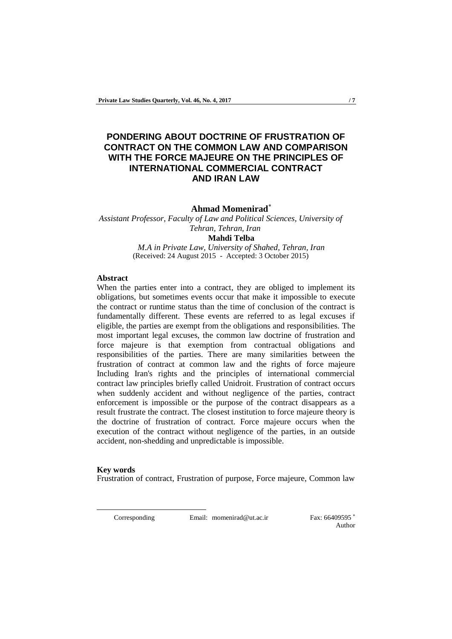# **PONDERING ABOUT DOCTRINE OF FRUSTRATION OF CONTRACT ON THE COMMON LAW AND COMPARISON WITH THE FORCE MAJEURE ON THE PRINCIPLES OF INTERNATIONAL COMMERCIAL CONTRACT AND IRAN LAW**

### **Ahmad Momenirad**

*Assistant Professor, Faculty of Law and Political Sciences, University of Tehran, Tehran, Iran* **Mahdi Telba** *M.A in Private Law, University of Shahed, Tehran, Iran* (Received: 24 August 2015 - Accepted: 3 October 2015)

## **Abstract**

When the parties enter into a contract, they are obliged to implement its obligations, but sometimes events occur that make it impossible to execute the contract or runtime status than the time of conclusion of the contract is fundamentally different. These events are referred to as legal excuses if eligible, the parties are exempt from the obligations and responsibilities. The most important legal excuses, the common law doctrine of frustration and force majeure is that exemption from contractual obligations and responsibilities of the parties. There are many similarities between the frustration of contract at common law and the rights of force majeure Including Iran's rights and the principles of international commercial contract law principles briefly called Unidroit. Frustration of contract occurs when suddenly accident and without negligence of the parties, contract enforcement is impossible or the purpose of the contract disappears as a result frustrate the contract. The closest institution to force majeure theory is the doctrine of frustration of contract. Force majeure occurs when the execution of the contract without negligence of the parties, in an outside accident, non-shedding and unpredictable is impossible.

#### **Key words**

-

Frustration of contract, Frustration of purpose, Force majeure, Common law

Corresponding Email: momenirad@ut.ac.ir Fax: 66409595<sup>\*</sup>

Author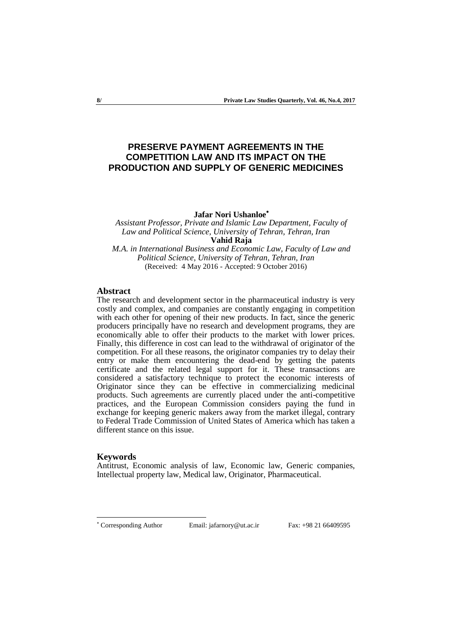# **PRESERVE PAYMENT AGREEMENTS IN THE COMPETITION LAW AND ITS IMPACT ON THE PRODUCTION AND SUPPLY OF GENERIC MEDICINES**

**Jafar Nori Ushanloe**

*Assistant Professor, Private and Islamic Law Department, Faculty of Law and Political Science, University of Tehran, Tehran, Iran*  **Vahid Raja** *M.A. in International Business and Economic Law, Faculty of Law and* 

*Political Science, University of Tehran, Tehran, Iran*  (Received: 4 May 2016 - Accepted: 9 October 2016)

#### **Abstract**

The research and development sector in the pharmaceutical industry is very costly and complex, and companies are constantly engaging in competition with each other for opening of their new products. In fact, since the generic producers principally have no research and development programs, they are economically able to offer their products to the market with lower prices. Finally, this difference in cost can lead to the withdrawal of originator of the competition. For all these reasons, the originator companies try to delay their entry or make them encountering the dead-end by getting the patents certificate and the related legal support for it. These transactions are considered a satisfactory technique to protect the economic interests of Originator since they can be effective in commercializing medicinal products. Such agreements are currently placed under the anti-competitive practices, and the European Commission considers paying the fund in exchange for keeping generic makers away from the market illegal, contrary to Federal Trade Commission of United States of America which has taken a different stance on this issue.

## **Keywords**

-

Antitrust, Economic analysis of law, Economic law, Generic companies, Intellectual property law, Medical law, Originator, Pharmaceutical.

Corresponding Author Email: jafarnory@ut.ac.ir Fax: +98 21 66409595